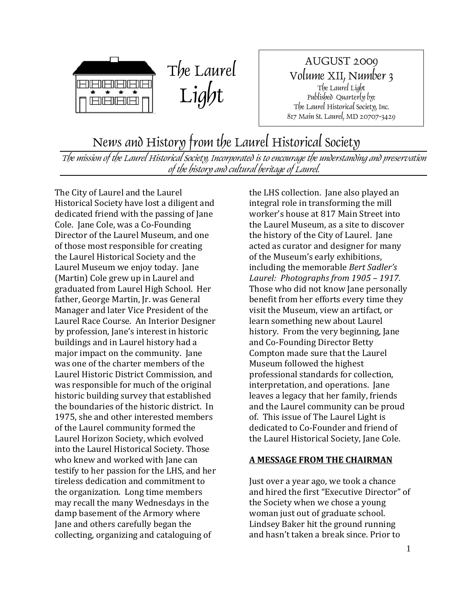



AUGUST 2009 Volume XII, Number 3 The Laurel Light Published Quarterly by: The Laurel Historical Society, Inc. 817 Main St. Laurel, MD 20707-3429

## News and History from the Laurel Historical Society

The mission of the Laurel Historical Society, Incorporated is to encourage the understanding and preservation of the history and cultural heritage of Laurel.

The City of Laurel and the Laurel Historical Society have lost a diligent and dedicated friend with the passing of Jane Cole. Jane Cole, was a Co‐Founding Director of the Laurel Museum, and one of those most responsible for creating the Laurel Historical Society and the Laurel Museum we enjoy today. Jane (Martin) Cole grew up in Laurel and graduated from Laurel High School. Her father, George Martin, Jr. was General Manager and later Vice President of the Laurel Race Course. An Interior Designer by profession, Jane's interest in historic buildings and in Laurel history had a major impact on the community. Jane was one of the charter members of the Laurel Historic District Commission, and was responsible for much of the original historic building survey that established the boundaries of the historic district. In 1975, she and other interested members of the Laurel community formed the Laurel Horizon Society, which evolved into the Laurel Historical Society. Those who knew and worked with Jane can testify to her passion for the LHS, and her tireless dedication and commitment to the organization. Long time members may recall the many Wednesdays in the damp basement of the Armory where Jane and others carefully began the collecting, organizing and cataloguing of

the LHS collection. Jane also played an integral role in transforming the mill worker's house at 817 Main Street into the Laurel Museum, as a site to discover the history of the City of Laurel. Jane acted as curator and designer for many of the Museum's early exhibitions, including the memorable *Bert Sadler's Laurel: Photographs from 1905 – 1917*. Those who did not know Jane personally benefit from her efforts every time they visit the Museum, view an artifact, or learn something new about Laurel history. From the very beginning, Jane and Co‐Founding Director Betty Compton made sure that the Laurel Museum followed the highest professional standards for collection, interpretation, and operations. Jane leaves a legacy that her family, friends and the Laurel community can be proud of. This issue of The Laurel Light is dedicated to Co‐Founder and friend of the Laurel Historical Society, Jane Cole.

#### **A MESSAGE FROM THE CHAIRMAN**

Just over a year ago, we took a chance and hired the first "Executive Director" of the Society when we chose a young woman just out of graduate school. Lindsey Baker hit the ground running and hasn't taken a break since. Prior to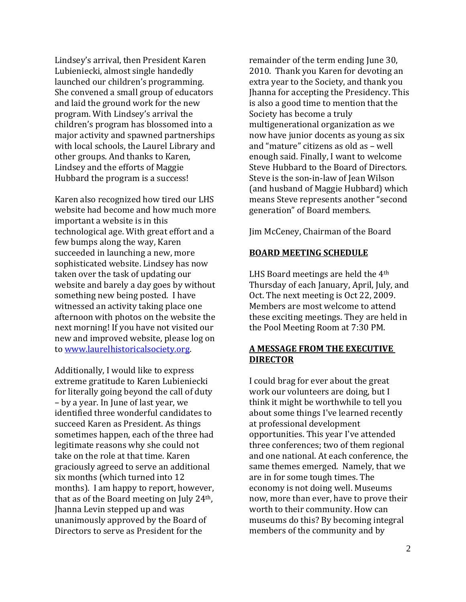Lindsey's arrival, then President Karen Lubieniecki, almost single handedly launched our children's programming. She convened a small group of educators and laid the ground work for the new program. With Lindsey's arrival the children's program has blossomed into a major activity and spawned partnerships with local schools, the Laurel Library and other groups. And thanks to Karen, Lindsey and the efforts of Maggie Hubbard the program is a success!

Karen also recognized how tired our LHS website had become and how much more important a website is in this technological age. With great effort and a few bumps along the way, Karen succeeded in launching a new, more sophisticated website. Lindsey has now taken over the task of updating our website and barely a day goes by without something new being posted. I have witnessed an activity taking place one afternoon with photos on the website the next morning! If you have not visited our new and improved website, please log on to www.laurelhistoricalsociety.org.

Additionally, I would like to express extreme gratitude to Karen Lubieniecki for literally going beyond the call of duty – by a year. In June of last year, we identified three wonderful candidates to succeed Karen as President. As things sometimes happen, each of the three had legitimate reasons why she could not take on the role at that time. Karen graciously agreed to serve an additional six months (which turned into 12 months). I am happy to report, however, that as of the Board meeting on July 24th, Jhanna Levin stepped up and was unanimously approved by the Board of Directors to serve as President for the

remainder of the term ending June 30, 2010. Thank you Karen for devoting an extra year to the Society, and thank you Jhanna for accepting the Presidency. This is also a good time to mention that the Society has become a truly multigenerational organization as we now have junior docents as young as six and "mature" citizens as old as – well enough said. Finally, I want to welcome Steve Hubbard to the Board of Directors. Steve is the son‐in‐law of Jean Wilson (and husband of Maggie Hubbard) which means Steve represents another "second generation" of Board members.

Jim McCeney, Chairman of the Board

#### **BOARD MEETING SCHEDULE**

LHS Board meetings are held the 4<sup>th</sup> Thursday of each January, April, July, and Oct. The next meeting is Oct 22, 2009. Members are most welcome to attend these exciting meetings. They are held in the Pool Meeting Room at 7:30 PM.

#### **A MESSAGE FROM THE EXECUTIVE DIRECTOR**

I could brag for ever about the great work our volunteers are doing, but I think it might be worthwhile to tell you about some things I've learned recently at professional development opportunities. This year I've attended three conferences; two of them regional and one national. At each conference, the same themes emerged. Namely, that we are in for some tough times. The economy is not doing well. Museums now, more than ever, have to prove their worth to their community. How can museums do this? By becoming integral members of the community and by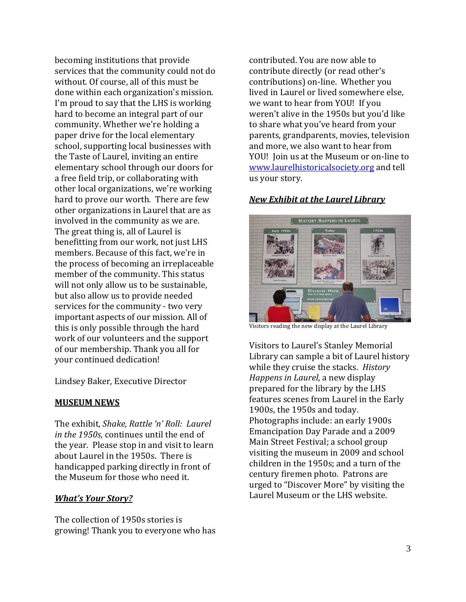becoming institutions that provide services that the community could not do without. Of course, all of this must be done within each organization's mission. I'm proud to say that the LHS is working hard to become an integral part of our community. Whether we're holding a paper drive for the local elementary school, supporting local businesses with the Taste of Laurel, inviting an entire elementary school through our doors for a free field trip, or collaborating with other local organizations, we're working hard to prove our worth. There are few other organizations in Laurel that are as involved in the community as we are. The great thing is, all of Laurel is benefitting from our work, not just LHS members. Because of this fact, we're in the process of becoming an irreplaceable member of the community. This status will not only allow us to be sustainable, but also allow us to provide needed services for the community - two very important aspects of our mission. All of this is only possible through the hard work of our volunteers and the support of our membership. Thank you all for your continued dedication!

Lindsey Baker, Executive Director

#### **MUSEUM NEWS**

The exhibit, *Shake, Rattle 'n' Roll: Laurel in the 1950s,* continues until the end of the year. Please stop in and visit to learn about Laurel in the 1950s. There is handicapped parking directly in front of the Museum for those who need it.

#### *What's Your Story?*

The collection of 1950s stories is growing! Thank you to everyone who has contributed. You are now able to contribute directly (or read other's contributions) on‐line. Whether you lived in Laurel or lived somewhere else, we want to hear from YOU! If you weren't alive in the 1950s but you'd like to share what you've heard from your parents, grandparents, movies, television and more, we also want to hear from YOU! Ioin us at the Museum or on-line to www.laurelhistoricalsociety.org and tell us your story.

### *New Exhibit at the Laurel Library*



Visitors reading the new display at the Laurel Library

Visitors to Laurel's Stanley Memorial Library can sample a bit of Laurel history while they cruise the stacks. *History Happens in Laurel*, a new display prepared for the library by the LHS features scenes from Laurel in the Early 1900s, the 1950s and today. Photographs include: an early 1900s Emancipation Day Parade and a 2009 Main Street Festival; a school group visiting the museum in 2009 and school children in the 1950s; and a turn of the century firemen photo. Patrons are urged to "Discover More" by visiting the Laurel Museum or the LHS website.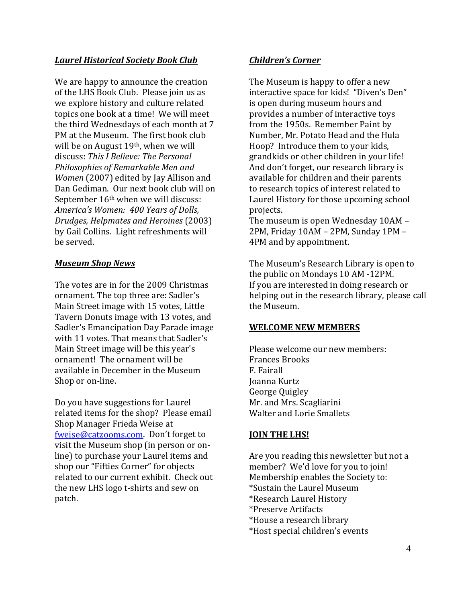#### *Laurel Historical Society Book Club*

We are happy to announce the creation of the LHS Book Club. Please join us as we explore history and culture related topics one book at a time! We will meet the third Wednesdays of each month at 7 PM at the Museum. The first book club will be on August 19<sup>th</sup>, when we will discuss: *This I Believe: The Personal Philosophies of Remarkable Men and Women* (2007) edited by Jay Allison and Dan Gediman. Our next book club will on September 16<sup>th</sup> when we will discuss: *America's Women: 400 Years of Dolls, Drudges, Helpmates and Heroines* (2003) by Gail Collins. Light refreshments will be served.

#### *Museum Shop News*

The votes are in for the 2009 Christmas ornament. The top three are: Sadler's Main Street image with 15 votes, Little Tavern Donuts image with 13 votes, and Sadler's Emancipation Day Parade image with 11 votes. That means that Sadler's Main Street image will be this year's ornament! The ornament will be available in December in the Museum Shop or on-line.

Do you have suggestions for Laurel related items for the shop? Please email Shop Manager Frieda Weise at [fweise@catzooms.com](mailto:fweise@catzooms.com). Don't forget to visit the Museum shop (in person or on‐ line) to purchase your Laurel items and shop our "Fifties Corner" for objects related to our current exhibit. Check out the new LHS logo t‐shirts and sew on patch.

#### *Children's Corner*

The Museum is happy to offer a new interactive space for kids! "Diven's Den" is open during museum hours and provides a number of interactive toys from the 1950s. Remember Paint by Number, Mr. Potato Head and the Hula Hoop? Introduce them to your kids, grandkids or other children in your life! And don't forget, our research library is available for children and their parents to research topics of interest related to Laurel History for those upcoming school projects.

The museum is open Wednesday 10AM – 2PM, Friday 10AM – 2PM, Sunday 1PM – 4PM and by appointment.

The Museum's Research Library is open to the public on Mondays 10 AM ‐12PM. If you are interested in doing research or helping out in the research library, please call he Museum. t

#### **WELCOME NEW MEMBERS**

Please welcome our new members: Frances Brooks F. Fairall Joanna Kurtz George Quigley Mr. and Mrs. Scagliarini Walter and Lorie Smallets

#### **JOIN THE LHS!**

Are you reading this newsletter but not a member? We'd love for you to join! Membership enables the Society to: \*Sustain the Laurel Museum \*Research Laurel History \*Preserve Artifacts \*House a research library \*Host special children's events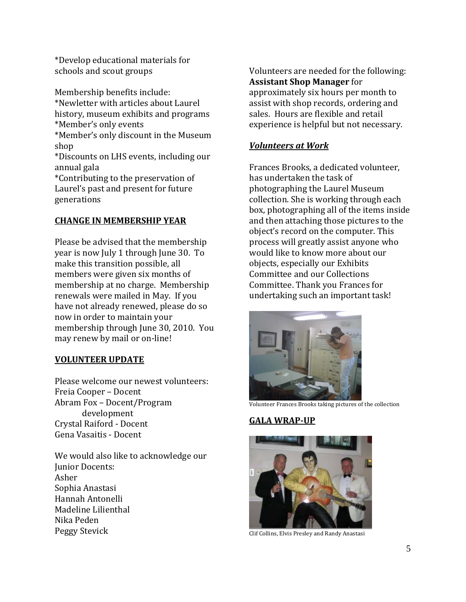\*Develop educational materials for schools and scout groups

Membership benefits include: \*Newletter with articles about Laurel history, museum exhibits and programs \*Member's only events \*Member's only discount in the Museum shop \*Discounts on LHS events, including our annual gala \*Contributing to the preservation of Laurel's past and present for future generations

#### **CHANGE IN MEMBERSHIP YEAR**

Please be advised that the membership year is now July 1 through June 30. To make this transition possible, all members were given six months of membership at no charge. Membership renewals were mailed in May. If you have not already renewed, please do so now in order to maintain your membership through June 30, 2010. You may renew by mail or on‐line!

#### **VOLUNTEER UPDATE**

Please welcome our newest volunteers: Freia Cooper – Docent Abram Fox – Docent/Program development Crystal Raiford ‐ Docent Gena Vasaitis ‐ Docent

We would also like to acknowledge our Junior Docents: Asher Sophia Anastasi Hannah Antonelli Madeline Lilienthal Nika Peden Peggy Stevick

Volunteers are needed for the following: **Assistant Shop Manager** for approximately six hours per month to assist with shop records, ordering and sales. Hours are flexible and retail experience is helpful but not necessary.

#### *Volunteers at Work*

Frances Brooks, a dedicated volunteer, has undertaken the task of photographing the Laurel Museum collection. She is working through each box, photographing all of the items inside and then attaching those pictures to the object's record on the computer. This process will greatly assist anyone who would like to know more about our objects, especially our Exhibits Committee and our Collections Committee. Thank you Frances for undertaking such an important task!



Volunteer Frances Brooks taking pictures of the collection

## **GALA WRAPUP**



Clif Collins, Elvis Presley and Randy Anastasi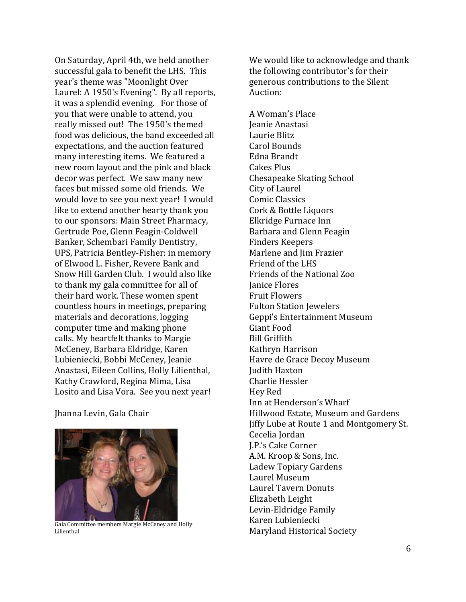On Saturday, April 4th, we held another successful gala to benefit the LHS. This year's theme was "Moonlight Over Laurel: A 1950's Evening". By all reports, it was a splendid evening. For those of you that were unable to attend, you really missed out! The 1950's themed food was delicious, the band exceeded all expectations, and the auction featured many interesting items. We featured a new room layout and the pink and black decor was perfect. We saw many new faces but missed some old friends. We would love to see you next year! I would like to extend another hearty thank you to our sponsors: Main Street Pharmacy, Gertrude Poe, Glenn Feagin‐Coldwell Banker, Schembari Family Dentistry, UPS, Patricia Bentley‐Fisher: in memory of Elwood L. Fisher, Revere Bank and Snow Hill Garden Club. I would also like to thank my gala committee for all of their hard work. These women spent countless hours in meetings, preparing materials and decorations, logging computer time and making phone calls. My heartfelt thanks to Margie McCeney, Barbara Eldridge, Karen Lubieniecki, Bobbi McCeney, Jeanie Anastasi, Eileen Collins, Holly Lilienthal, Kathy Crawford, Regina Mima, Lisa Losito and Lisa Vora. See you next year!

Jhanna Levin, Gala Chair



Gala Committee members Margie McCeney and Holly Lilienthal

We would like to acknowledge and thank the following contributor's for their generous contributions to the Silent Auction:

A Woman's Place Jeanie Anastasi Laurie Blitz Carol Bounds Edna Brandt Chesapeake Skating School Cakes Plus City of Laurel Comic Classics Cork & Bottle Liquors Elkridge Furnace Inn Barbara and Glenn Feagin Finders Keepers Marlene and Jim Frazier Friend of the LHS Friends of the National Zoo Janice Flores Fruit Flowers Fulton Station Jewelers Geppi's Entertainment Museum Giant Food Bill Griffith Kathryn Harrison Havre de Grace Decoy Museum Judith Haxton Charlie Hessler Hey Red Inn at Henderson's Wharf Hillwood Estate, Museum and Gardens Jiffy Lube at Route 1 and Montgomery St. Cecelia Jordan J.P.'s Cake Corner A.M. Kroop & Sons, Inc. Ladew Topiary Gardens Laurel Museum Laurel Tavern Donuts Elizabeth Leight Levin‐Eldridge Family Karen Lubieniecki Maryland Historical Society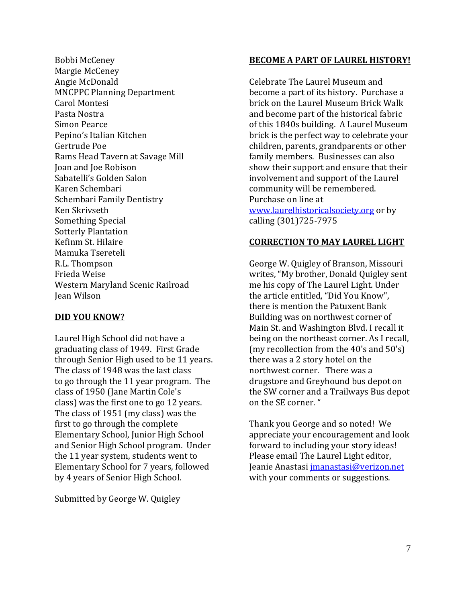Bobbi McCeney Margie McCeney Angie McDonald **MNCPPC Planning Department** Carol Montesi Pasta Nostra Simon Pearce Pepino's Italian Kitchen Gertrude Poe Rams Head Tavern at Savage Mill Joan and Joe Robison Sabatelli's Golden Salon Karen Schembari Schembari Family Dentistry Ken Skrivseth Something Special Sotterly Plantation Kefinm St. Hilaire Mamuka Tsereteli R.L. Thompson Western Maryland Scenic Railroad Frieda Weise Jean Wilson

#### **DID YOU KNOW?**

Laurel High School did not have a graduating class of 1949. First Grade through Senior High used to be 11 years. The class of 1948 was the last class to go through the 11 year program. The class of 1950 (Jane Martin Cole's class) was the first one to go 12 years. The class of 1951 (my class) was the first to go through the complete Elementary School, Junior High School and Senior High School program. Under the 11 year system, students went to Elementary School for 7 years, followed by 4 years of Senior High School.

Submitted by George W. Quigley

#### **BECOME A PART OF LAUREL HISTORY!**

Celebrate The Laurel Museum and become a part of its history. Purchase a brick on the Laurel Museum Brick Walk and become part of the historical fabric of this 1840s building. A Laurel Museum brick is the perfect way to celebrate your children, parents, grandparents or other family members. Businesses can also show their support and ensure that their involvement and support of the Laurel community will be remembered. Purchase on line at [www.laurelhistoricalso](http://www.laurelhistoricalsociety.org/)ciety.org [or by](http://www.laurelhistoricalsociety.org/)  calling (301)725‐7975

#### **CORRECTION TO MAY LAUREL LIGHT**

George W. Quigley of Branson, Missouri writes, "My brother, Donald Quigley sent me his copy of The Laurel Light. Under the article entitled, "Did You Know", there is mention the Patuxent Bank Building was on northwest corner of Main St. and Washington Blvd. I recall it being on the northeast corner. As I recall, (my recollection from the 40's and 50's) there was a 2 story hotel on the northwest corner. There was a drugstore and Greyhound bus depot on the SW corner and a Trailways Bus depot on the SE corner. "

Thank you George and so noted! We appreciate your encouragement and look forward to including your story ideas! Please email The Laurel Light editor, Jeanie Anastasi [jmanastasi@verizon.net](mailto:jmanastasi@verizon.net) with your comments or suggestions.